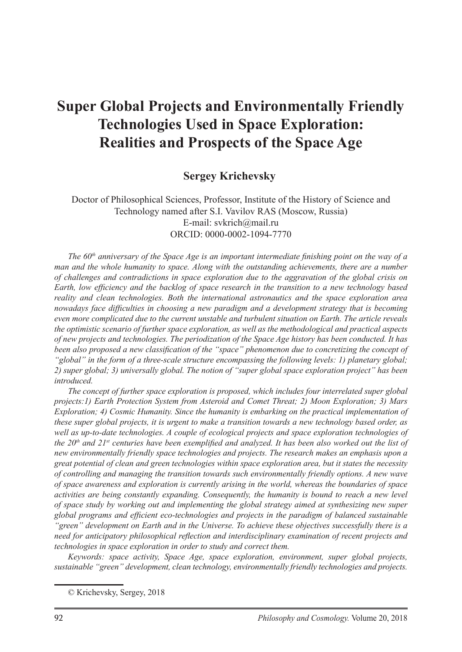# **Super Global Projects and Environmentally Friendly Technologies Used in Space Exploration: Realities and Prospects of the Space Age**

### **Sergey Krichevsky**

Doctor of Philosophical Sciences, Professor, Institute of the History of Science and Technology named after S.I. Vavilov RAS (Moscow, Russia) E-mail: svkrich@mail.ru ORCID: 0000-0002-1094-7770

*The 60<sup>th</sup> anniversary of the Space Age is an important intermediate finishing point on the way of a man and the whole humanity to space. Along with the outstanding achievements, there are a number of challenges and contradictions in space exploration due to the aggravation of the global crisis on Earth, low efficiency and the backlog of space research in the transition to a new technology based reality and clean technologies. Both the international astronautics and the space exploration area nowadays face difficulties in choosing a new paradigm and a development strategy that is becoming even more complicated due to the current unstable and turbulent situation on Earth. The article reveals the optimistic scenario of further space exploration, as well as the methodological and practical aspects of new projects and technologies. The periodization of the Space Age history has been conducted. It has been also proposed a new classification of the "space" phenomenon due to concretizing the concept of "global" in the form of a three-scale structure encompassing the following levels: 1) planetary global; 2) super global; 3) universally global. The notion of "super global space exploration project" has been introduced.*

*The concept of further space exploration is proposed, which includes four interrelated super global projects:1) Earth Protection System from Asteroid and Comet Threat; 2) Moon Exploration; 3) Mars Exploration; 4) Cosmic Humanity. Since the humanity is embarking on the practical implementation of these super global projects, it is urgent to make a transition towards a new technology based order, as well as up-to-date technologies. A couple of ecological projects and space exploration technologies of the 20th and 21st centuries have been exemplified and analyzed. It has been also worked out the list of new environmentally friendly space technologies and projects. The research makes an emphasis upon a great potential of clean and green technologies within space exploration area, but it states the necessity of controlling and managing the transition towards such environmentally friendly options. A new wave of space awareness and exploration is currently arising in the world, whereas the boundaries of space activities are being constantly expanding. Consequently, the humanity is bound to reach a new level of space study by working out and implementing the global strategy aimed at synthesizing new super global programs and efficient eco-technologies and projects in the paradigm of balanced sustainable "green" development on Earth and in the Universe. To achieve these objectives successfully there is a need for anticipatory philosophical reflection and interdisciplinary examination of recent projects and technologies in space exploration in order to study and correct them.*

*Keywords: space activity, Space Age, space exploration, environment, super global projects, sustainable "green" development, clean technology, environmentally friendly technologies and projects.*

<sup>©</sup> Krichevsky, Sergey, 2018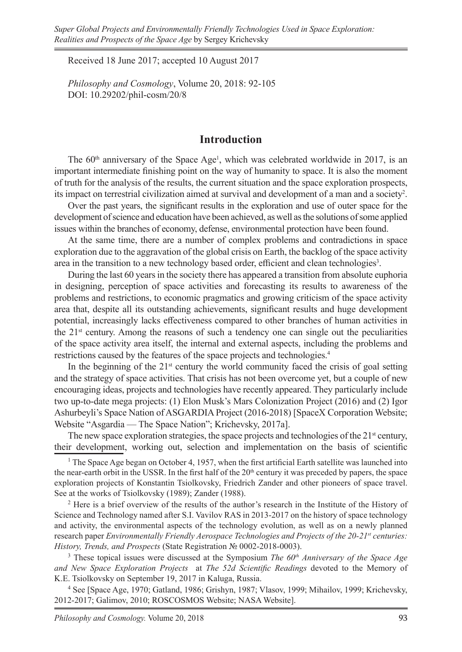Received 18 June 2017; accepted 10 August 2017

*Philosophy and Cosmology*, Volume 20, 2018: 92-105 DOI: 10.29202/phil-cosm/20/8

### **Introduction**

The  $60<sup>th</sup>$  anniversary of the Space Age<sup>1</sup>, which was celebrated worldwide in 2017, is an important intermediate finishing point on the way of humanity to space. It is also the moment of truth for the analysis of the results, the current situation and the space exploration prospects, its impact on terrestrial civilization aimed at survival and development of a man and a society<sup>2</sup>.

Over the past years, the significant results in the exploration and use of outer space for the development of science and education have been achieved, as well as the solutions of some applied issues within the branches of economy, defense, environmental protection have been found.

At the same time, there are a number of complex problems and contradictions in space exploration due to the aggravation of the global crisis on Earth, the backlog of the space activity area in the transition to a new technology based order, efficient and clean technologies<sup>3</sup>.

During the last 60 years in the society there has appeared a transition from absolute euphoria in designing, perception of space activities and forecasting its results to awareness of the problems and restrictions, to economic pragmatics and growing criticism of the space activity area that, despite all its outstanding achievements, significant results and huge development potential, increasingly lacks effectiveness compared to other branches of human activities in the  $21<sup>st</sup>$  century. Among the reasons of such a tendency one can single out the peculiarities of the space activity area itself, the internal and external aspects, including the problems and restrictions caused by the features of the space projects and technologies.4

In the beginning of the  $21<sup>st</sup>$  century the world community faced the crisis of goal setting and the strategy of space activities. That crisis has not been overcome yet, but a couple of new encouraging ideas, projects and technologies have recently appeared. They particularly include two up-to-date mega projects: (1) Elon Musk's Mars Colonization Project (2016) and (2) Igor Ashurbeyli's Space Nation of ASGARDIA Project (2016-2018) [SpaceX Corporation Website; Website "Asgardia — The Space Nation"; Krichevsky, 2017a].

The new space exploration strategies, the space projects and technologies of the  $21<sup>st</sup>$  century, their development, working out, selection and implementation on the basis of scientific

<sup>1</sup> The Space Age began on October 4, 1957, when the first artificial Earth satellite was launched into the near-earth orbit in the USSR. In the first half of the  $20<sup>th</sup>$  century it was preceded by papers, the space exploration projects of Konstantin Tsiolkovsky, Friedrich Zander and other pioneers of space travel. See at the works of Tsiolkovsky (1989); Zander (1988).

<sup>2</sup> Here is a brief overview of the results of the author's research in the Institute of the History of Science and Technology named after S.I. Vavilov RAS in 2013-2017 on the history of space technology and activity, the environmental aspects of the technology evolution, as well as on a newly planned research paper *Environmentally Friendly Aerospace Technologies and Projects of the 20-21st centuries: History, Trends, and Prospects* (State Registration № 0002-2018-0003).

<sup>3</sup> These topical issues were discussed at the Symposium *The 60<sup>th</sup> Anniversary of the Space Age and New Space Exploration Projects* at *The 52d Scientific Readings* devoted to the Memory of K.E. Tsiolkovsky on September 19, 2017 in Kaluga, Russia.

4 See [Space Age, 1970; Gatland, 1986; Grishyn, 1987; Vlasov, 1999; Mihailov, 1999; Krichevsky, 2012-2017; Galimov, 2010; ROSCOSMOS Website; NASA Website].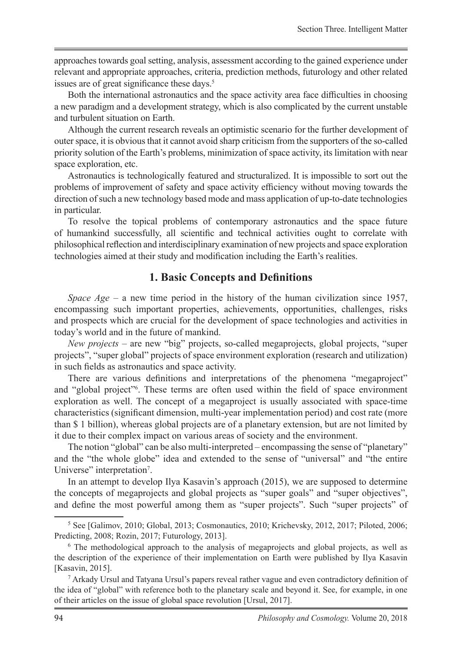approaches towards goal setting, analysis, assessment according to the gained experience under relevant and appropriate approaches, criteria, prediction methods, futurology and other related issues are of great significance these days.<sup>5</sup>

Both the international astronautics and the space activity area face difficulties in choosing a new paradigm and a development strategy, which is also complicated by the current unstable and turbulent situation on Earth.

Although the current research reveals an optimistic scenario for the further development of outer space, it is obvious that it cannot avoid sharp criticism from the supporters of the so-called priority solution of the Earth's problems, minimization of space activity, its limitation with near space exploration, etc.

Astronautics is technologically featured and structuralized. It is impossible to sort out the problems of improvement of safety and space activity efficiency without moving towards the direction of such a new technology based mode and mass application of up-to-date technologies in particular.

To resolve the topical problems of contemporary astronautics and the space future of humankind successfully, all scientific and technical activities ought to correlate with philosophical reflection and interdisciplinary examination of new projects and space exploration technologies aimed at their study and modification including the Earth's realities.

### **1. Basic Concepts and Definitions**

*Space Age* – a new time period in the history of the human civilization since 1957, encompassing such important properties, achievements, opportunities, challenges, risks and prospects which are crucial for the development of space technologies and activities in today's world and in the future of mankind.

*New projects* – are new "big" projects, so-called megaprojects, global projects, "super projects", "super global" projects of space environment exploration (research and utilization) in such fields as astronautics and space activity.

There are various definitions and interpretations of the phenomena "megaproject" and "global project"6 . These terms are often used within the field of space environment exploration as well. The concept of a megaproject is usually associated with space-time characteristics (significant dimension, multi-year implementation period) and cost rate (more than \$ 1 billion), whereas global projects are of a planetary extension, but are not limited by it due to their complex impact on various areas of society and the environment.

The notion "global" can be also multi-interpreted – encompassing the sense of "planetary" and the "the whole globe" idea and extended to the sense of "universal" and "the entire Universe" interpretation<sup>7</sup>.

In an attempt to develop Ilya Kasavin's approach (2015), we are supposed to determine the concepts of megaprojects and global projects as "super goals" and "super objectives", and define the most powerful among them as "super projects". Such "super projects" of

<sup>5</sup> See [Galimov, 2010; Global, 2013; Cosmonautics, 2010; Krichevsky, 2012, 2017; Piloted, 2006; Predicting, 2008; Rozin, 2017; Futurology, 2013].

<sup>&</sup>lt;sup>6</sup> The methodological approach to the analysis of megaprojects and global projects, as well as the description of the experience of their implementation on Earth were published by Ilya Kasavin [Kasavin, 2015].

<sup>7</sup> Arkady Ursul and Tatyana Ursul's papers reveal rather vague and even contradictory definition of the idea of "global" with reference both to the planetary scale and beyond it. See, for example, in one of their articles on the issue of global space revolution [Ursul, 2017].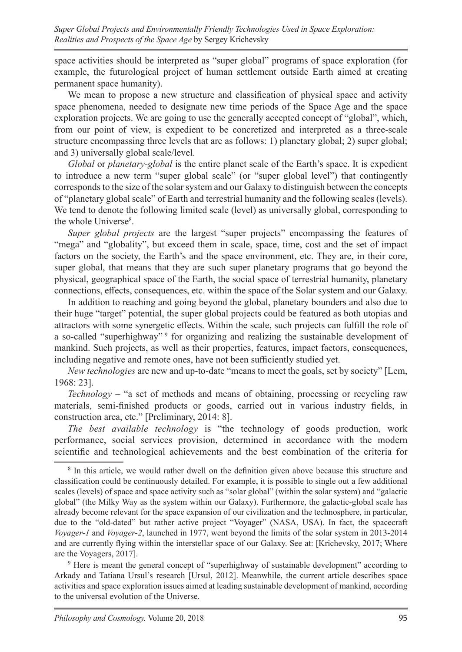space activities should be interpreted as "super global" programs of space exploration (for example, the futurological project of human settlement outside Earth aimed at creating permanent space humanity).

We mean to propose a new structure and classification of physical space and activity space phenomena, needed to designate new time periods of the Space Age and the space exploration projects. We are going to use the generally accepted concept of "global", which, from our point of view, is expedient to be concretized and interpreted as a three-scale structure encompassing three levels that are as follows: 1) planetary global; 2) super global; and 3) universally global scale/level.

*Global* or *planetary-global* is the entire planet scale of the Earth's space. It is expedient to introduce a new term "super global scale" (or "super global level") that contingently corresponds to the size of the solar system and our Galaxy to distinguish between the concepts of "planetary global scale" of Earth and terrestrial humanity and the following scales (levels). We tend to denote the following limited scale (level) as universally global, corresponding to the whole Universe<sup>8</sup>.

*Super global projects* are the largest "super projects" encompassing the features of "mega" and "globality", but exceed them in scale, space, time, cost and the set of impact factors on the society, the Earth's and the space environment, etc. They are, in their core, super global, that means that they are such super planetary programs that go beyond the physical, geographical space of the Earth, the social space of terrestrial humanity, planetary connections, effects, consequences, etc. within the space of the Solar system and our Galaxy.

In addition to reaching and going beyond the global, planetary bounders and also due to their huge "target" potential, the super global projects could be featured as both utopias and attractors with some synergetic effects. Within the scale, such projects can fulfill the role of a so-called "superhighway" <sup>9</sup> for organizing and realizing the sustainable development of mankind. Such projects, as well as their properties, features, impact factors, consequences, including negative and remote ones, have not been sufficiently studied yet.

*New technologies* are new and up-to-date "means to meet the goals, set by society" [Lem, 1968: 23].

*Technology* – "a set of methods and means of obtaining, processing or recycling raw materials, semi-finished products or goods, carried out in various industry fields, in construction area, etc." [Preliminary, 2014: 8].

*The best available technology* is "the technology of goods production, work performance, social services provision, determined in accordance with the modern scientific and technological achievements and the best combination of the criteria for

<sup>&</sup>lt;sup>8</sup> In this article, we would rather dwell on the definition given above because this structure and classification could be continuously detailed. For example, it is possible to single out a few additional scales (levels) of space and space activity such as "solar global" (within the solar system) and "galactic global" (the Milky Way as the system within our Galaxy). Furthermore, the galactic-global scale has already become relevant for the space expansion of our civilization and the technosphere, in particular, due to the "old-dated" but rather active project "Voyager" (NASA, USA). In fact, the spacecraft *Voyager-1* and *Voyager-2*, launched in 1977, went beyond the limits of the solar system in 2013-2014 and are currently flying within the interstellar space of our Galaxy. See at: [Krichevsky, 2017; Where are the Voyagers, 2017].

<sup>&</sup>lt;sup>9</sup> Here is meant the general concept of "superhighway of sustainable development" according to Arkady and Tatiana Ursul's research [Ursul, 2012]. Meanwhile, the current article describes space activities and space exploration issues aimed at leading sustainable development of mankind, according to the universal evolution of the Universe.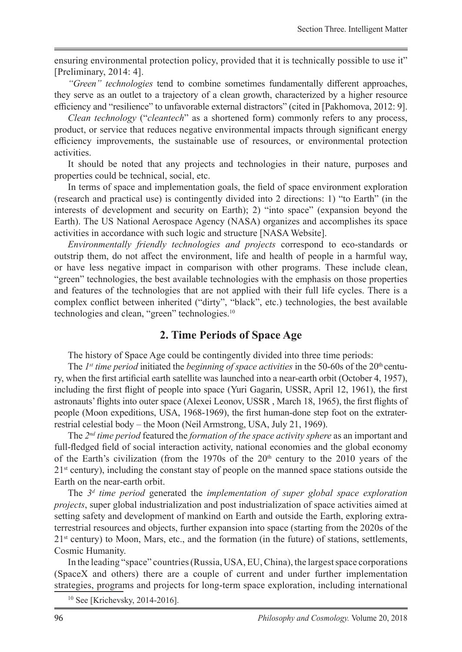ensuring environmental protection policy, provided that it is technically possible to use it" [Preliminary, 2014: 4].

*"Green" technologies* tend to combine sometimes fundamentally different approaches, they serve as an outlet to a trajectory of a clean growth, characterized by a higher resource efficiency and "resilience" to unfavorable external distractors" (cited in [Pakhomova, 2012: 9].

*Clean technology* ("*cleantech*" as a shortened form) commonly refers to any process, product, or service that reduces negative environmental impacts through significant energy efficiency improvements, the sustainable use of resources, or environmental protection activities.

It should be noted that any projects and technologies in their nature, purposes and properties could be technical, social, etc.

In terms of space and implementation goals, the field of space environment exploration (research and practical use) is contingently divided into 2 directions: 1) "to Earth" (in the interests of development and security on Earth); 2) "into space" (expansion beyond the Earth). The US National Aerospace Agency (NASA) organizes and accomplishes its space activities in accordance with such logic and structure [NASA Website].

*Environmentally friendly technologies and projects* correspond to eco-standards or outstrip them, do not affect the environment, life and health of people in a harmful way, or have less negative impact in comparison with other programs. These include clean, "green" technologies, the best available technologies with the emphasis on those properties and features of the technologies that are not applied with their full life cycles. There is a complex conflict between inherited ("dirty", "black", etc.) technologies, the best available technologies and clean, "green" technologies.<sup>10</sup>

## **2. Time Periods of Space Age**

The history of Space Age could be contingently divided into three time periods:

The  $1^{st}$  time period initiated the *beginning of space activities* in the 50-60s of the  $20^{th}$  century, when the first artificial earth satellite was launched into a near-earth orbit (October 4, 1957), including the first flight of people into space (Yuri Gagarin, USSR, April 12, 1961), the first astronauts' flights into outer space (Alexei Leonov, USSR , March 18, 1965), the first flights of people (Moon expeditions, USA, 1968-1969), the first human-done step foot on the extraterrestrial celestial body – the Moon (Neil Armstrong, USA, July 21, 1969).

The *2nd time period* featured the *formation of the space activity sphere* as an important and full-fledged field of social interaction activity, national economies and the global economy of the Earth's civilization (from the 1970s of the  $20<sup>th</sup>$  century to the 2010 years of the  $21<sup>st</sup>$  century), including the constant stay of people on the manned space stations outside the Earth on the near-earth orbit.

The *3<sup>d</sup> time period* generated the *implementation of super global space exploration projects*, super global industrialization and post industrialization of space activities aimed at setting safety and development of mankind on Earth and outside the Earth, exploring extraterrestrial resources and objects, further expansion into space (starting from the 2020s of the 21<sup>st</sup> century) to Moon, Mars, etc., and the formation (in the future) of stations, settlements, Cosmic Humanity.

In the leading "space" countries (Russia, USA, EU, China), the largest space corporations (SpaceX and others) there are a couple of current and under further implementation strategies, programs and projects for long-term space exploration, including international

10 See [Krichevsky, 2014-2016].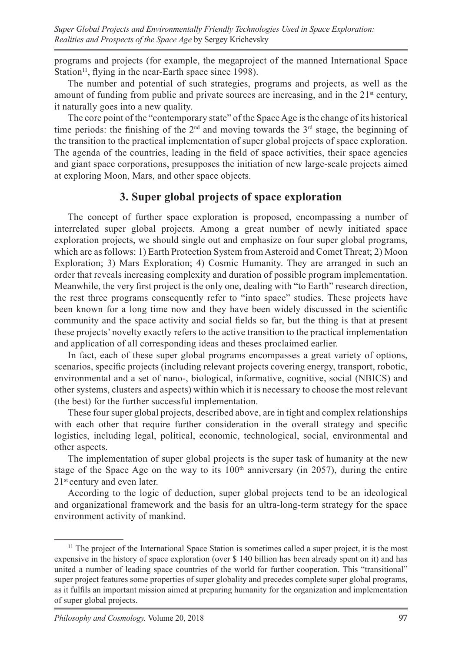programs and projects (for example, the megaproject of the manned International Space Station<sup>11</sup>, flying in the near-Earth space since 1998).

The number and potential of such strategies, programs and projects, as well as the amount of funding from public and private sources are increasing, and in the  $21<sup>st</sup>$  century, it naturally goes into a new quality.

The core point of the "contemporary state" of the Space Age is the change of its historical time periods: the finishing of the  $2<sup>nd</sup>$  and moving towards the  $3<sup>rd</sup>$  stage, the beginning of the transition to the practical implementation of super global projects of space exploration. The agenda of the countries, leading in the field of space activities, their space agencies and giant space corporations, presupposes the initiation of new large-scale projects aimed at exploring Moon, Mars, and other space objects.

# **3. Super global projects of space exploration**

The concept of further space exploration is proposed, encompassing a number of interrelated super global projects. Among a great number of newly initiated space exploration projects, we should single out and emphasize on four super global programs, which are as follows: 1) Earth Protection System from Asteroid and Comet Threat; 2) Moon Exploration; 3) Mars Exploration; 4) Cosmic Humanity. They are arranged in such an order that reveals increasing complexity and duration of possible program implementation. Meanwhile, the very first project is the only one, dealing with "to Earth" research direction, the rest three programs consequently refer to "into space" studies. These projects have been known for a long time now and they have been widely discussed in the scientific community and the space activity and social fields so far, but the thing is that at present these projects' novelty exactly refers to the active transition to the practical implementation and application of all corresponding ideas and theses proclaimed earlier.

In fact, each of these super global programs encompasses a great variety of options, scenarios, specific projects (including relevant projects covering energy, transport, robotic, environmental and a set of nano-, biological, informative, cognitive, social (NBICS) and other systems, clusters and aspects) within which it is necessary to choose the most relevant (the best) for the further successful implementation.

These four super global projects, described above, are in tight and complex relationships with each other that require further consideration in the overall strategy and specific logistics, including legal, political, economic, technological, social, environmental and other aspects.

The implementation of super global projects is the super task of humanity at the new stage of the Space Age on the way to its  $100<sup>th</sup>$  anniversary (in 2057), during the entire 21<sup>st</sup> century and even later.

According to the logic of deduction, super global projects tend to be an ideological and organizational framework and the basis for an ultra-long-term strategy for the space environment activity of mankind.

 $11$  The project of the International Space Station is sometimes called a super project, it is the most expensive in the history of space exploration (over \$ 140 billion has been already spent on it) and has united a number of leading space countries of the world for further cooperation. This "transitional" super project features some properties of super globality and precedes complete super global programs, as it fulfils an important mission aimed at preparing humanity for the organization and implementation of super global projects.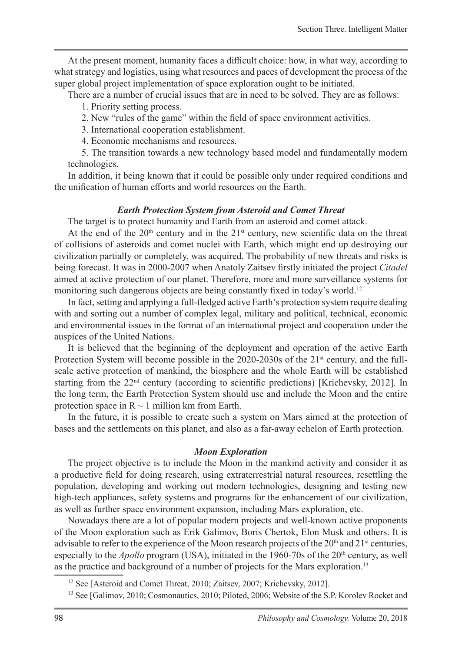At the present moment, humanity faces a difficult choice: how, in what way, according to what strategy and logistics, using what resources and paces of development the process of the super global project implementation of space exploration ought to be initiated.

There are a number of crucial issues that are in need to be solved. They are as follows:

- 1. Priority setting process.
- 2. New "rules of the game" within the field of space environment activities.
- 3. International cooperation establishment.
- 4. Economic mechanisms and resources.

5. The transition towards a new technology based model and fundamentally modern technologies.

In addition, it being known that it could be possible only under required conditions and the unification of human efforts and world resources on the Earth.

#### *Earth Protection System from Asteroid and Comet Threat*

The target is to protect humanity and Earth from an asteroid and comet attack.

At the end of the  $20<sup>th</sup>$  century and in the  $21<sup>st</sup>$  century, new scientific data on the threat of collisions of asteroids and comet nuclei with Earth, which might end up destroying our civilization partially or completely, was acquired. The probability of new threats and risks is being forecast. It was in 2000-2007 when Anatoly Zaitsev firstly initiated the project *Citadel* aimed at active protection of our planet. Therefore, more and more surveillance systems for monitoring such dangerous objects are being constantly fixed in today's world.<sup>12</sup>

In fact, setting and applying a full-fledged active Earth's protection system require dealing with and sorting out a number of complex legal, military and political, technical, economic and environmental issues in the format of an international project and cooperation under the auspices of the United Nations.

It is believed that the beginning of the deployment and operation of the active Earth Protection System will become possible in the 2020-2030s of the 21<sup>st</sup> century, and the fullscale active protection of mankind, the biosphere and the whole Earth will be established starting from the 22<sup>nd</sup> century (according to scientific predictions) [Krichevsky, 2012]. In the long term, the Earth Protection System should use and include the Moon and the entire protection space in  $R \sim 1$  million km from Earth.

In the future, it is possible to create such a system on Mars aimed at the protection of bases and the settlements on this planet, and also as a far-away echelon of Earth protection.

#### *Moon Exploration*

The project objective is to include the Moon in the mankind activity and consider it as a productive field for doing research, using extraterrestrial natural resources, resettling the population, developing and working out modern technologies, designing and testing new high-tech appliances, safety systems and programs for the enhancement of our civilization, as well as further space environment expansion, including Mars exploration, etc.

Nowadays there are a lot of popular modern projects and well-known active proponents of the Moon exploration such as Erik Galimov, Boris Chertok, Elon Musk and others. It is advisable to refer to the experience of the Moon research projects of the  $20<sup>th</sup>$  and  $21<sup>st</sup>$  centuries, especially to the *Apollo* program (USA), initiated in the 1960-70s of the  $20<sup>th</sup>$  century, as well as the practice and background of a number of projects for the Mars exploration.<sup>13</sup>

<sup>&</sup>lt;sup>12</sup> See [Asteroid and Comet Threat, 2010; Zaitsev, 2007; Krichevsky, 2012].

<sup>&</sup>lt;sup>13</sup> See [Galimov, 2010; Cosmonautics, 2010; Piloted, 2006; Website of the S.P. Korolev Rocket and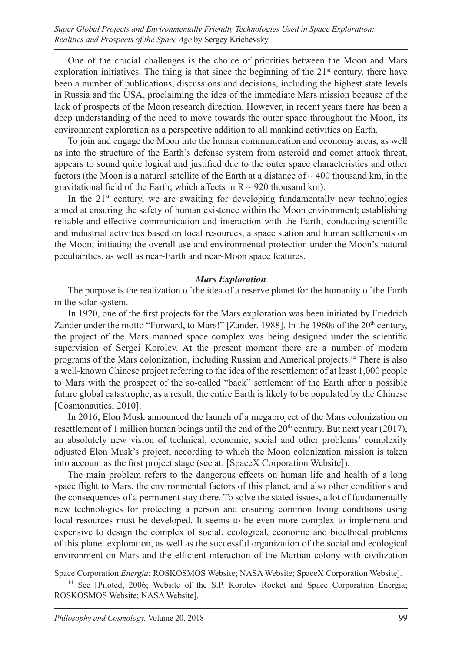*Super Global Projects and Environmentally Friendly Technologies Used in Space Exploration: Realities and Prospects of the Space Age* by Sergey Krichevsky

One of the crucial challenges is the choice of priorities between the Moon and Mars exploration initiatives. The thing is that since the beginning of the  $21<sup>st</sup>$  century, there have been a number of publications, discussions and decisions, including the highest state levels in Russia and the USA, proclaiming the idea of the immediate Mars mission because of the lack of prospects of the Moon research direction. However, in recent years there has been a deep understanding of the need to move towards the outer space throughout the Moon, its environment exploration as a perspective addition to all mankind activities on Earth.

To join and engage the Moon into the human communication and economy areas, as well as into the structure of the Earth's defense system from asteroid and comet attack threat, appears to sound quite logical and justified due to the outer space characteristics and other factors (the Moon is a natural satellite of the Earth at a distance of  $\sim$  400 thousand km, in the gravitational field of the Earth, which affects in  $R \sim 920$  thousand km).

In the  $21<sup>st</sup>$  century, we are awaiting for developing fundamentally new technologies aimed at ensuring the safety of human existence within the Moon environment; establishing reliable and effective communication and interaction with the Earth; conducting scientific and industrial activities based on local resources, a space station and human settlements on the Moon; initiating the overall use and environmental protection under the Moon's natural peculiarities, as well as near-Earth and near-Moon space features.

#### *Mars Exploration*

The purpose is the realization of the idea of a reserve planet for the humanity of the Earth in the solar system.

In 1920, one of the first projects for the Mars exploration was been initiated by Friedrich Zander under the motto "Forward, to Mars!" [Zander, 1988]. In the 1960s of the  $20<sup>th</sup>$  century, the project of the Mars manned space complex was being designed under the scientific supervision of Sergei Korolev. At the present moment there are a number of modern programs of the Mars colonization, including Russian and Americal projects.14 There is also a well-known Chinese project referring to the idea of the resettlement of at least 1,000 people to Mars with the prospect of the so-called "back" settlement of the Earth after a possible future global catastrophe, as a result, the entire Earth is likely to be populated by the Chinese [Cosmonautics, 2010].

In 2016, Elon Musk announced the launch of a megaproject of the Mars colonization on resettlement of 1 million human beings until the end of the  $20<sup>th</sup>$  century. But next year (2017), an absolutely new vision of technical, economic, social and other problems' complexity adjusted Elon Musk's project, according to which the Moon colonization mission is taken into account as the first project stage (see at: [SpaceX Corporation Website]).

The main problem refers to the dangerous effects on human life and health of a long space flight to Mars, the environmental factors of this planet, and also other conditions and the consequences of a permanent stay there. To solve the stated issues, a lot of fundamentally new technologies for protecting a person and ensuring common living conditions using local resources must be developed. It seems to be even more complex to implement and expensive to design the complex of social, ecological, economic and bioethical problems of this planet exploration, as well as the successful organization of the social and ecological environment on Mars and the efficient interaction of the Martian colony with civilization

Space Corporation *Energia*; ROSKOSMOS Website; NASA Website; SpaceX Corporation Website].

<sup>&</sup>lt;sup>14</sup> See [Piloted, 2006; Website of the S.P. Korolev Rocket and Space Corporation Energia; ROSKOSMOS Website; NASA Website].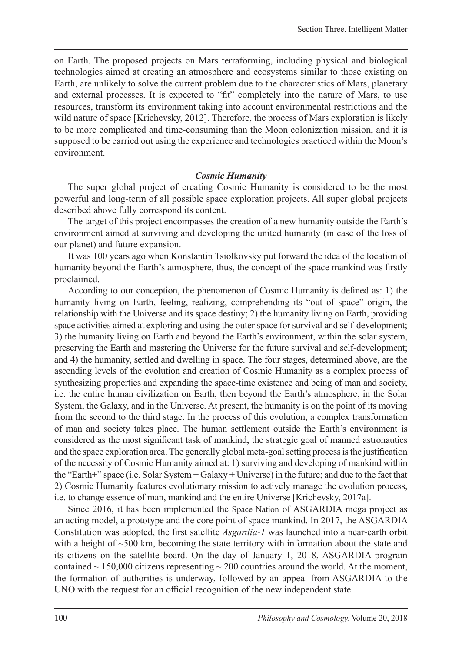on Earth. The proposed projects on Mars terraforming, including physical and biological technologies aimed at creating an atmosphere and ecosystems similar to those existing on Earth, are unlikely to solve the current problem due to the characteristics of Mars, planetary and external processes. It is expected to "fit" completely into the nature of Mars, to use resources, transform its environment taking into account environmental restrictions and the wild nature of space [Krichevsky, 2012]. Therefore, the process of Mars exploration is likely to be more complicated and time-consuming than the Moon colonization mission, and it is supposed to be carried out using the experience and technologies practiced within the Moon's environment.

#### *Cosmic Humanity*

The super global project of creating Cosmic Humanity is considered to be the most powerful and long-term of all possible space exploration projects. All super global projects described above fully correspond its content.

The target of this project encompasses the creation of a new humanity outside the Earth's environment aimed at surviving and developing the united humanity (in case of the loss of our planet) and future expansion.

It was 100 years ago when Konstantin Tsiolkovsky put forward the idea of the location of humanity beyond the Earth's atmosphere, thus, the concept of the space mankind was firstly proclaimed.

According to our conception, the phenomenon of Cosmic Humanity is defined as: 1) the humanity living on Earth, feeling, realizing, comprehending its "out of space" origin, the relationship with the Universe and its space destiny; 2) the humanity living on Earth, providing space activities aimed at exploring and using the outer space for survival and self-development; 3) the humanity living on Earth and beyond the Earth's environment, within the solar system, preserving the Earth and mastering the Universe for the future survival and self-development; and 4) the humanity, settled and dwelling in space. The four stages, determined above, are the ascending levels of the evolution and creation of Cosmic Humanity as a complex process of synthesizing properties and expanding the space-time existence and being of man and society, i.e. the entire human civilization on Earth, then beyond the Earth's atmosphere, in the Solar System, the Galaxy, and in the Universe. At present, the humanity is on the point of its moving from the second to the third stage. In the process of this evolution, a complex transformation of man and society takes place. The human settlement outside the Earth's environment is considered as the most significant task of mankind, the strategic goal of manned astronautics and the space exploration area. The generally global meta-goal setting process is the justification of the necessity of Cosmic Humanity aimed at: 1) surviving and developing of mankind within the "Earth+" space (i.e. Solar System + Galaxy + Universe) in the future; and due to the fact that 2) Cosmic Humanity features evolutionary mission to actively manage the evolution process, i.e. to change essence of man, mankind and the entire Universe [Krichevsky, 2017a].

Since 2016, it has been implemented the Space Nation of ASGARDIA mega project as an acting model, a prototype and the core point of space mankind. In 2017, the ASGARDIA Constitution was adopted, the first satellite *Asgardia-1* was launched into a near-earth orbit with a height of  $\sim$ 500 km, becoming the state territory with information about the state and its citizens on the satellite board. On the day of January 1, 2018, ASGARDIA program contained  $\sim$  150,000 citizens representing  $\sim$  200 countries around the world. At the moment, the formation of authorities is underway, followed by an appeal from ASGARDIA to the UNO with the request for an official recognition of the new independent state.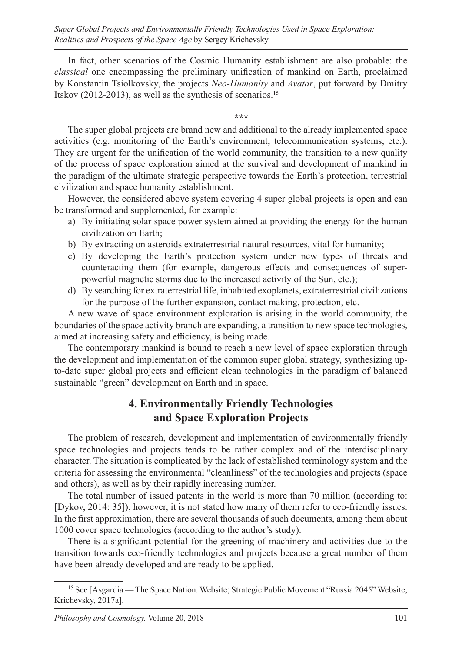In fact, other scenarios of the Cosmic Humanity establishment are also probable: the *classical* one encompassing the preliminary unification of mankind on Earth, proclaimed by Konstantin Tsiolkovsky, the projects *Neo-Humanity* and *Avatar*, put forward by Dmitry Itskov (2012-2013), as well as the synthesis of scenarios.<sup>15</sup>

**\*\*\***

The super global projects are brand new and additional to the already implemented space activities (e.g. monitoring of the Earth's environment, telecommunication systems, etc.). They are urgent for the unification of the world community, the transition to a new quality of the process of space exploration aimed at the survival and development of mankind in the paradigm of the ultimate strategic perspective towards the Earth's protection, terrestrial civilization and space humanity establishment.

However, the considered above system covering 4 super global projects is open and can be transformed and supplemented, for example:

- a) By initiating solar space power system aimed at providing the energy for the human civilization on Earth;
- b) By extracting on asteroids extraterrestrial natural resources, vital for humanity;
- c) By developing the Earth's protection system under new types of threats and counteracting them (for example, dangerous effects and consequences of superpowerful magnetic storms due to the increased activity of the Sun, etc.);
- d) By searching for extraterrestrial life, inhabited exoplanets, extraterrestrial civilizations for the purpose of the further expansion, contact making, protection, etc.

A new wave of space environment exploration is arising in the world community, the boundaries of the space activity branch are expanding, a transition to new space technologies, aimed at increasing safety and efficiency, is being made.

The contemporary mankind is bound to reach a new level of space exploration through the development and implementation of the common super global strategy, synthesizing upto-date super global projects and efficient clean technologies in the paradigm of balanced sustainable "green" development on Earth and in space.

# **4. Environmentally Friendly Technologies and Space Exploration Projects**

The problem of research, development and implementation of environmentally friendly space technologies and projects tends to be rather complex and of the interdisciplinary character. The situation is complicated by the lack of established terminology system and the criteria for assessing the environmental "cleanliness" of the technologies and projects (space and others), as well as by their rapidly increasing number.

The total number of issued patents in the world is more than 70 million (according to: [Dykov, 2014: 35]), however, it is not stated how many of them refer to eco-friendly issues. In the first approximation, there are several thousands of such documents, among them about 1000 cover space technologies (according to the author's study).

There is a significant potential for the greening of machinery and activities due to the transition towards eco-friendly technologies and projects because a great number of them have been already developed and are ready to be applied.

<sup>&</sup>lt;sup>15</sup> See [Asgardia — The Space Nation. Website; Strategic Public Movement "Russia 2045" Website; Krichevsky, 2017a].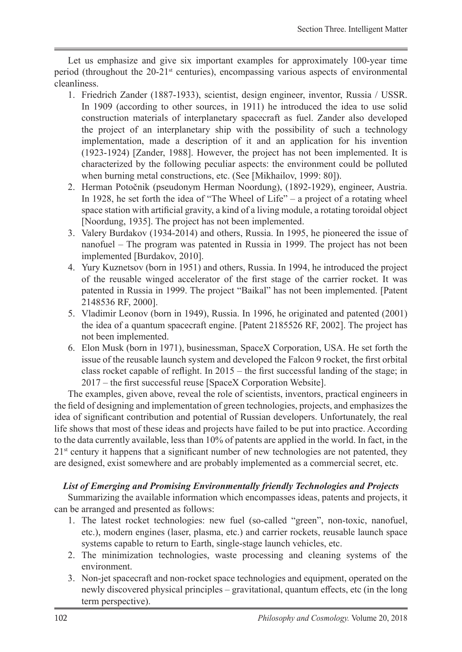Let us emphasize and give six important examples for approximately 100-year time period (throughout the  $20-21$ <sup>st</sup> centuries), encompassing various aspects of environmental cleanliness.

- 1. Friedrich Zander (1887-1933), scientist, design engineer, inventor, Russia / USSR. In 1909 (according to other sources, in 1911) he introduced the idea to use solid construction materials of interplanetary spacecraft as fuel. Zander also developed the project of an interplanetary ship with the possibility of such a technology implementation, made a description of it and an application for his invention (1923-1924) [Zander, 1988]. However, the project has not been implemented. It is characterized by the following peculiar aspects: the environment could be polluted when burning metal constructions, etc. (See [Mikhailov, 1999: 80]).
- 2. Herman Potočnik (pseudonym Herman Noordung), (1892-1929), engineer, Austria. In 1928, he set forth the idea of "The Wheel of Life" – a project of a rotating wheel space station with artificial gravity, a kind of a living module, a rotating toroidal object [Noordung, 1935]. The project has not been implemented.
- 3. Valery Burdakov (1934-2014) and others, Russia. In 1995, he pioneered the issue of nanofuel – The program was patented in Russia in 1999. The project has not been implemented [Burdakov, 2010].
- 4. Yury Kuznetsov (born in 1951) and others, Russia. In 1994, he introduced the project of the reusable winged accelerator of the first stage of the carrier rocket. It was patented in Russia in 1999. The project "Baikal" has not been implemented. [Patent 2148536 RF, 2000].
- 5. Vladimir Leonov (born in 1949), Russia. In 1996, he originated and patented (2001) the idea of a quantum spacecraft engine. [Patent 2185526 RF, 2002]. The project has not been implemented.
- 6. Elon Musk (born in 1971), businessman, SpaceX Corporation, USA. He set forth the issue of the reusable launch system and developed the Falcon 9 rocket, the first orbital class rocket capable of reflight. In 2015 – the first successful landing of the stage; in 2017 – the first successful reuse [SpaceX Corporation Website].

The examples, given above, reveal the role of scientists, inventors, practical engineers in the field of designing and implementation of green technologies, projects, and emphasizes the idea of significant contribution and potential of Russian developers. Unfortunately, the real life shows that most of these ideas and projects have failed to be put into practice. According to the data currently available, less than 10% of patents are applied in the world. In fact, in the  $21<sup>st</sup>$  century it happens that a significant number of new technologies are not patented, they are designed, exist somewhere and are probably implemented as a commercial secret, etc.

### *List of Emerging and Promising Environmentally friendly Technologies and Projects*

Summarizing the available information which encompasses ideas, patents and projects, it can be arranged and presented as follows:

- 1. The latest rocket technologies: new fuel (so-called "green", non-toxic, nanofuel, etc.), modern engines (laser, plasma, etc.) and carrier rockets, reusable launch space systems capable to return to Earth, single-stage launch vehicles, etc.
- 2. The minimization technologies, waste processing and cleaning systems of the environment.
- 3. Non-jet spacecraft and non-rocket space technologies and equipment, operated on the newly discovered physical principles – gravitational, quantum effects, etc (in the long term perspective).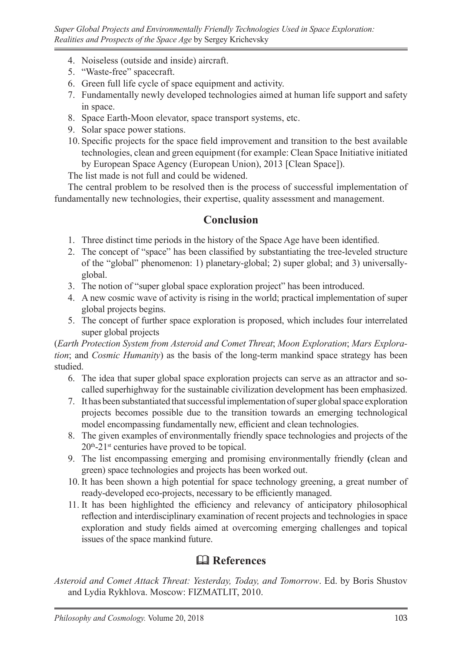- 4. Noiseless (outside and inside) aircraft.
- 5. "Waste-free" spacecraft.
- 6. Green full life cycle of space equipment and activity.
- 7. Fundamentally newly developed technologies aimed at human life support and safety in space.
- 8. Space Earth-Moon elevator, space transport systems, etc.
- 9. Solar space power stations.
- 10. Specific projects for the space field improvement and transition to the best available technologies, clean and green equipment (for example: Clean Space Initiative initiated by European Space Agency (European Union), 2013 [Clean Space]).

The list made is not full and could be widened.

The central problem to be resolved then is the process of successful implementation of fundamentally new technologies, their expertise, quality assessment and management.

## **Conclusion**

- 1. Three distinct time periods in the history of the Space Age have been identified.
- 2. The concept of "space" has been classified by substantiating the tree-leveled structure of the "global" phenomenon: 1) planetary-global; 2) super global; and 3) universallyglobal.
- 3. The notion of "super global space exploration project" has been introduced.
- 4. A new cosmic wave of activity is rising in the world; practical implementation of super global projects begins.
- 5. The concept of further space exploration is proposed, which includes four interrelated super global projects

(*Earth Protection System from Asteroid and Comet Threat*; *Moon Exploration*; *Mars Exploration*; and *Cosmic Humanity*) as the basis of the long-term mankind space strategy has been studied.

- 6. The idea that super global space exploration projects can serve as an attractor and socalled superhighway for the sustainable civilization development has been emphasized.
- 7. It has been substantiated that successful implementation of super global space exploration projects becomes possible due to the transition towards an emerging technological model encompassing fundamentally new, efficient and clean technologies.
- 8. The given examples of environmentally friendly space technologies and projects of the  $20<sup>th</sup> - 21<sup>st</sup>$  centuries have proved to be topical.
- 9. The list encompassing emerging and promising environmentally friendly **(**clean and green) space technologies and projects has been worked out.
- 10. It has been shown a high potential for space technology greening, a great number of ready-developed eco-projects, necessary to be efficiently managed.
- 11. It has been highlighted the efficiency and relevancy of anticipatory philosophical reflection and interdisciplinary examination of recent projects and technologies in space exploration and study fields aimed at overcoming emerging challenges and topical issues of the space mankind future.

# **References**

*Asteroid and Comet Attack Threat: Yesterday, Today, and Tomorrow*. Ed. by Boris Shustov and Lydia Rykhlova. Moscow: FIZMATLIT, 2010.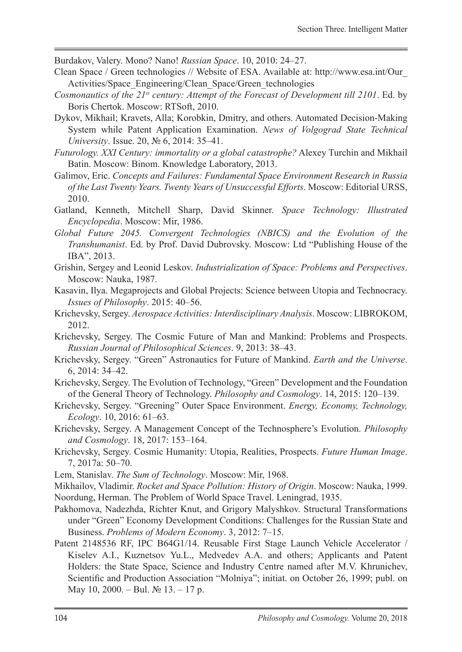Burdakov, Valery. Mono? Nano! *Russian Space*. 10, 2010: 24–27.

- Clean Space / Green technologies // Website of ESA. Available at: http://www.esa.int/Our\_ Activities/Space\_Engineering/Clean\_Space/Green\_technologies
- *Cosmonautics of the 21st century: Attempt of the Forecast of Development till 2101*. Ed. by Boris Chertok. Moscow: RTSоft, 2010.
- Dykov, Mikhail; Kravets, Alla; Korobkin, Dmitry, and others. Automated Decision-Making System while Patent Application Examination. *News of Volgograd State Technical University*. Issue. 20, № 6, 2014: 35–41.
- *Futurology. XXI Century: immortality or a global catastrophe?* Alexey Turchin and Mikhail Batin. Moscow: Binom. Knowledge Laboratory, 2013.
- Galimov, Eric. *Concepts and Failures: Fundamental Space Environment Research in Russia of the Last Twenty Years. Twenty Years of Unsuccessful Efforts*. Moscow: Editorial URSS, 2010.
- Gatland, Kenneth, Mitchell Sharp, David Skinner. *Space Technology: Illustrated Encyclopedia*. Moscow: Mir, 1986.
- *Global Future 2045. Convergent Technologies (NBIСS) and the Evolution of the Transhumanist*. Ed. by Prof. David Dubrovsky. Moscow: Ltd "Publishing House of the IBA", 2013.
- Grishin, Sergey and Leonid Leskov. *Industrialization of Space: Problems and Perspectives*. Moscow: Nauka, 1987.
- Kasavin, Ilya. Megaprojects and Global Projects: Science between Utopia and Technocracy. *Issues of Philosophy*. 2015: 40–56.
- Krichevsky, Sergey. *Aerospace Activities: Interdisciplinary Analysis*. Moscow: LIBROKOM, 2012.
- Krichevsky, Sergey. The Cosmic Future of Man and Mankind: Problems and Prospects. *Russian Journal of Philosophical Sciences*. 9, 2013: 38–43.
- Krichevsky, Sergey. "Green" Astronautics for Future of Mankind. *Earth and the Universe*. 6, 2014: 34–42.
- Krichevsky, Sergey. The Evolution of Technology, "Green" Development and the Foundation of the General Theory of Technology. *Philosophy and Cosmology*. 14, 2015: 120–139.
- Krichevsky, Sergey. "Greening" Outer Space Environment. *Energy, Economy, Technology, Ecology*. 10, 2016: 61–63.
- Krichevsky, Sergey. A Management Concept of the Technosphere's Evolution. *Philosophy and Cosmology*. 18, 2017: 153–164.
- Krichevsky, Sergey. Cosmic Humanity: Utopia, Realities, Prospects. *Future Human Image*. 7, 2017a: 50–70.
- Lem, Stanislav. *The Sum of Technology*. Moscow: Mir, 1968.
- Mikhailov, Vladimir. *Rocket and Space Pollution: History of Origin*. Moscow: Nauka, 1999. Noordung, Herman. The Problem of World Space Travel. Leningrad, 1935.
- Pakhomova, Nadezhda, Richter Knut, and Grigory Malyshkov. Structural Transformations under "Green" Economy Development Conditions: Challenges for the Russian State and Business. *Problems of Modern Economy*. 3, 2012: 7–15.
- Patent 2148536 RF, IPC B64G1/14. Reusable First Stage Launch Vehicle Accelerator / Kiselev A.I., Kuznetsov Yu.L., Medvedev A.A. and others; Applicants and Patent Holders: the State Space, Science and Industry Centre named after M.V. Khrunichev, Scientific and Production Association "Molniya"; initiat. on October 26, 1999; publ. on May 10, 2000. – Bul. № 13. – 17 p.